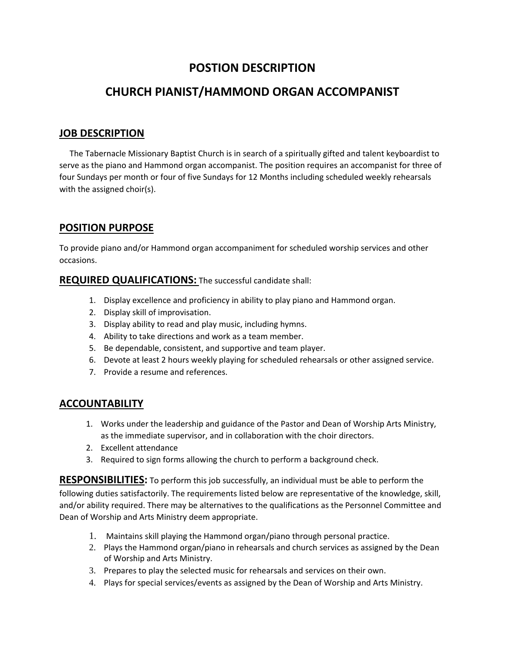# **POSTION DESCRIPTION**

# **CHURCH PIANIST/HAMMOND ORGAN ACCOMPANIST**

### **JOB DESCRIPTION**

 The Tabernacle Missionary Baptist Church is in search of a spiritually gifted and talent keyboardist to serve as the piano and Hammond organ accompanist. The position requires an accompanist for three of four Sundays per month or four of five Sundays for 12 Months including scheduled weekly rehearsals with the assigned choir(s).

### **POSITION PURPOSE**

To provide piano and/or Hammond organ accompaniment for scheduled worship services and other occasions.

#### **REQUIRED QUALIFICATIONS:** The successful candidate shall:

- 1. Display excellence and proficiency in ability to play piano and Hammond organ.
- 2. Display skill of improvisation.
- 3. Display ability to read and play music, including hymns.
- 4. Ability to take directions and work as a team member.
- 5. Be dependable, consistent, and supportive and team player.
- 6. Devote at least 2 hours weekly playing for scheduled rehearsals or other assigned service.
- 7. Provide a resume and references.

### **ACCOUNTABILITY**

- 1. Works under the leadership and guidance of the Pastor and Dean of Worship Arts Ministry, as the immediate supervisor, and in collaboration with the choir directors.
- 2. Excellent attendance
- 3. Required to sign forms allowing the church to perform a background check.

**RESPONSIBILITIES:** To perform this job successfully, an individual must be able to perform the following duties satisfactorily. The requirements listed below are representative of the knowledge, skill, and/or ability required. There may be alternatives to the qualifications as the Personnel Committee and Dean of Worship and Arts Ministry deem appropriate.

- 1. Maintains skill playing the Hammond organ/piano through personal practice.
- 2. Plays the Hammond organ/piano in rehearsals and church services as assigned by the Dean of Worship and Arts Ministry.
- 3. Prepares to play the selected music for rehearsals and services on their own.
- 4. Plays for special services/events as assigned by the Dean of Worship and Arts Ministry.